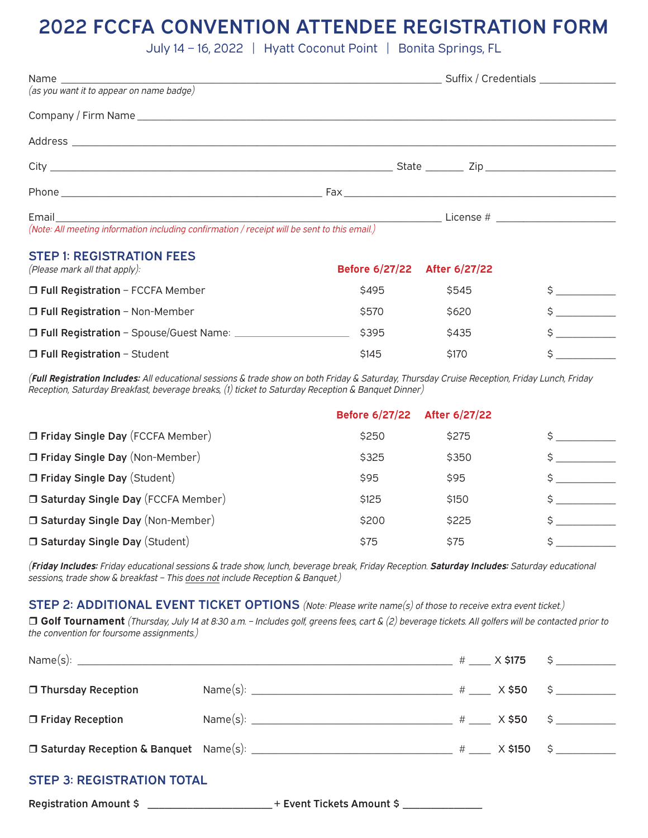# 2022 FCCFA CONVENTION ATTENDEE REGISTRATION FORM

July 14 – 16, 2022 | Hyatt Coconut Point | Bonita Springs, FL

|                                                                                                                                                                                                               |  | State ________ Zip _______________________ |
|---------------------------------------------------------------------------------------------------------------------------------------------------------------------------------------------------------------|--|--------------------------------------------|
|                                                                                                                                                                                                               |  |                                            |
| Email and the contract of the contract of the contract of the contract of the contract of the contract of the<br>(Note: All meeting information including confirmation / receipt will be sent to this email.) |  | License # ________________________         |

#### STEP 1: REGISTRATION FEES

| (Please mark all that apply):            | <b>Before 6/27/22</b> | After 6/27/22 |  |
|------------------------------------------|-----------------------|---------------|--|
| $\Box$ Full Registration - FCCFA Member  | \$495                 | \$545         |  |
| $\Box$ Full Registration - Non-Member    | \$570                 | \$620         |  |
| □ Full Registration - Spouse/Guest Name: | \$395                 | \$435         |  |
| $\Box$ Full Registration - Student       | \$145                 | \$170         |  |

*(Full Registration Includes: All educational sessions & trade show on both Friday & Saturday, Thursday Cruise Reception, Friday Lunch, Friday Reception, Saturday Breakfast, beverage breaks, (1) ticket to Saturday Reception & Banquet Dinner)*

|                                           | <b>Before 6/27/22</b> | After 6/27/22 |  |
|-------------------------------------------|-----------------------|---------------|--|
| <b>T Friday Single Day</b> (FCCFA Member) | \$250                 | \$275         |  |
| □ Friday Single Day (Non-Member)          | \$325                 | \$350         |  |
| $\Box$ Friday Single Day (Student)        | \$95                  | \$95          |  |
| □ Saturday Single Day (FCCFA Member)      | \$125                 | \$150         |  |
| □ Saturday Single Day (Non-Member)        | \$200                 | \$225         |  |
| □ Saturday Single Day (Student)           | \$75                  | \$75          |  |
|                                           |                       |               |  |

*(Friday Includes: Friday educational sessions & trade show, lunch, beverage break, Friday Reception. Saturday Includes: Saturday educational sessions, trade show & breakfast – This does not include Reception & Banquet.)*

STEP 2: ADDITIONAL EVENT TICKET OPTIONS *(Note: Please write name(s) of those to receive extra event ticket.)*

r **Golf Tournament** *(Thursday, July 14 at 8:30 a.m. – Includes golf, greens fees, cart & (2) beverage tickets. All golfers will be contacted prior to the convention for foursome assignments.)*

|  | $\frac{4}{10}$ X \$175 \$<br>□ Saturday Reception & Banquet Name(s): __________________________________ # ____ X \$150 \$ _________ |
|--|-------------------------------------------------------------------------------------------------------------------------------------|

### STEP 3: REGISTRATION TOTAL

Registration Amount \$ \_\_\_\_\_\_\_\_\_\_\_\_\_\_\_\_\_\_\_\_\_\_\_\_\_+ Event Tickets Amount \$